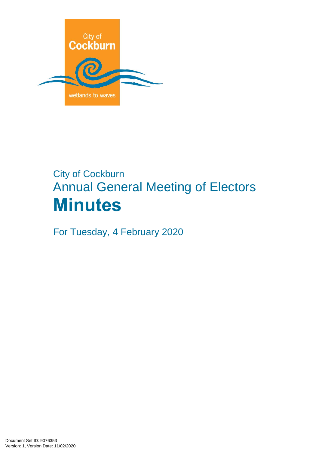

# City of Cockburn Annual General Meeting of Electors **Minutes**

For Tuesday, 4 February 2020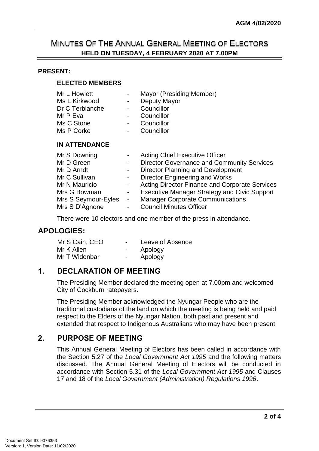## MINUTES OF THE ANNUAL GENERAL MEETING OF ELECTORS **HELD ON TUESDAY, 4 FEBRUARY 2020 AT 7.00PM**

#### **PRESENT:**

#### **ELECTED MEMBERS**

| Mr L Howlett    | $\sim$ | Mayor (Presiding Member) |
|-----------------|--------|--------------------------|
| Ms L Kirkwood   | $\sim$ | Deputy Mayor             |
| Dr C Terblanche |        | Councillor               |
| Mr P Eva        |        | Councillor               |
| Ms C Stone      |        | Councillor               |
| Ms P Corke      |        | Councillor               |
|                 |        |                          |

#### **IN ATTENDANCE**

| Mr S Downing        | <b>Acting Chief Executive Officer</b>               |
|---------------------|-----------------------------------------------------|
| Mr D Green          | <b>Director Governance and Community Services</b>   |
| Mr D Arndt          | <b>Director Planning and Development</b>            |
| Mr C Sullivan       | Director Engineering and Works                      |
| Mr N Mauricio       | Acting Director Finance and Corporate Services      |
| Mrs G Bowman        | <b>Executive Manager Strategy and Civic Support</b> |
| Mrs S Seymour-Eyles | <b>Manager Corporate Communications</b>             |
| Mrs S D'Agnone      | <b>Council Minutes Officer</b>                      |

There were 10 electors and one member of the press in attendance.

#### **APOLOGIES:**

| Mr S Cain, CEO | $\overline{\phantom{0}}$ | Leave of Absence |
|----------------|--------------------------|------------------|
| Mr K Allen     | $\overline{\phantom{0}}$ | Apology          |
| Mr T Widenbar  | $\overline{\phantom{0}}$ | Apology          |

## **1. DECLARATION OF MEETING**

The Presiding Member declared the meeting open at 7.00pm and welcomed City of Cockburn ratepayers.

The Presiding Member acknowledged the Nyungar People who are the traditional custodians of the land on which the meeting is being held and paid respect to the Elders of the Nyungar Nation, both past and present and extended that respect to Indigenous Australians who may have been present.

## **2. PURPOSE OF MEETING**

This Annual General Meeting of Electors has been called in accordance with the Section 5.27 of the *Local Government Act 1995* and the following matters discussed. The Annual General Meeting of Electors will be conducted in accordance with Section 5.31 of the *Local Government Act 1995* and Clauses 17 and 18 of the *Local Government (Administration) Regulations 1996*.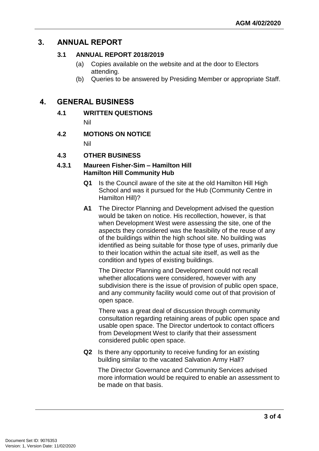## **3. ANNUAL REPORT**

#### **3.1 ANNUAL REPORT 2018/2019**

- (a) Copies available on the website and at the door to Electors attending.
- (b) Queries to be answered by Presiding Member or appropriate Staff.

### **4. GENERAL BUSINESS**

**4.1 WRITTEN QUESTIONS** 

Nil

- **4.2 MOTIONS ON NOTICE** Nil
- **4.3 OTHER BUSINESS**

#### **4.3.1 Maureen Fisher-Sim – Hamilton Hill Hamilton Hill Community Hub**

- **Q1** Is the Council aware of the site at the old Hamilton Hill High School and was it pursued for the Hub (Community Centre in Hamilton Hill)?
- **A1** The Director Planning and Development advised the question would be taken on notice. His recollection, however, is that when Development West were assessing the site, one of the aspects they considered was the feasibility of the reuse of any of the buildings within the high school site. No building was identified as being suitable for those type of uses, primarily due to their location within the actual site itself, as well as the condition and types of existing buildings.

The Director Planning and Development could not recall whether allocations were considered, however with any subdivision there is the issue of provision of public open space, and any community facility would come out of that provision of open space.

There was a great deal of discussion through community consultation regarding retaining areas of public open space and usable open space. The Director undertook to contact officers from Development West to clarify that their assessment considered public open space.

**Q2** Is there any opportunity to receive funding for an existing building similar to the vacated Salvation Army Hall?

The Director Governance and Community Services advised more information would be required to enable an assessment to be made on that basis.